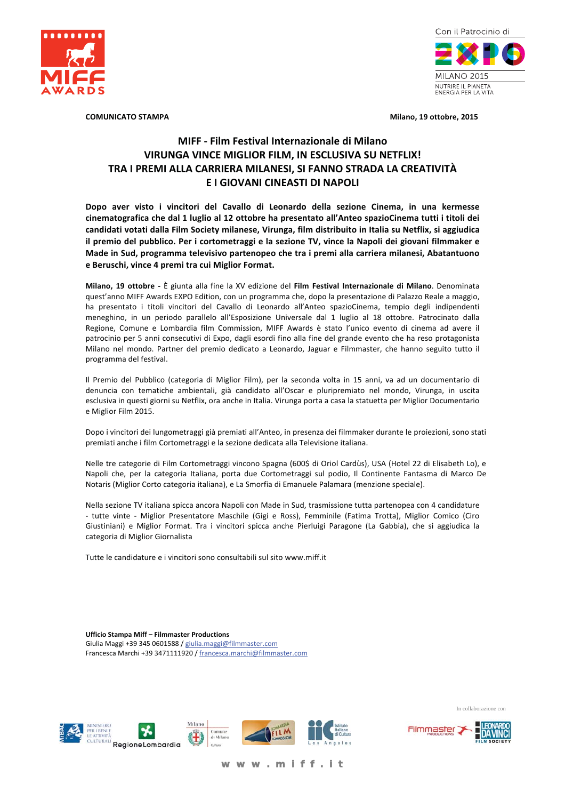

**COMUNICATO STAMPA** 



Milano, 19 ottobre, 2015

## MIFF - Film Festival Internazionale di Milano VIRUNGA VINCE MIGLIOR FILM, IN ESCLUSIVA SU NETFLIX! TRA I PREMI ALLA CARRIERA MILANESI, SI FANNO STRADA LA CREATIVITÀ E I GIOVANI CINEASTI DI NAPOLI

Dopo aver visto i vincitori del Cavallo di Leonardo della sezione Cinema, in una kermesse cinematografica che dal 1 luglio al 12 ottobre ha presentato all'Anteo spazioCinema tutti i titoli dei candidati votati dalla Film Society milanese, Virunga, film distribuito in Italia su Netflix, si aggiudica il premio del pubblico. Per i cortometraggi e la sezione TV, vince la Napoli dei giovani filmmaker e Made in Sud, programma televisivo partenopeo che tra i premi alla carriera milanesi, Abatantuono e Beruschi, vince 4 premi tra cui Miglior Format.

Milano, 19 ottobre - È giunta alla fine la XV edizione del Film Festival Internazionale di Milano. Denominata quest'anno MIFF Awards EXPO Edition, con un programma che, dopo la presentazione di Palazzo Reale a maggio, ha presentato i titoli vincitori del Cavallo di Leonardo all'Anteo spazioCinema, tempio degli indipendenti meneghino, in un periodo parallelo all'Esposizione Universale dal 1 luglio al 18 ottobre. Patrocinato dalla Regione, Comune e Lombardia film Commission, MIFF Awards è stato l'unico evento di cinema ad avere il patrocinio per 5 anni consecutivi di Expo, dagli esordi fino alla fine del grande evento che ha reso protagonista Milano nel mondo. Partner del premio dedicato a Leonardo, Jaguar e Filmmaster, che hanno seguito tutto il programma del festival.

Il Premio del Pubblico (categoria di Miglior Film), per la seconda volta in 15 anni, va ad un documentario di denuncia con tematiche ambientali, già candidato all'Oscar e pluripremiato nel mondo, Virunga, in uscita esclusiva in questi giorni su Netflix, ora anche in Italia. Virunga porta a casa la statuetta per Miglior Documentario e Miglior Film 2015.

Dopo i vincitori dei lungometraggi già premiati all'Anteo, in presenza dei filmmaker durante le proiezioni, sono stati premiati anche i film Cortometraggi e la sezione dedicata alla Televisione italiana.

Nelle tre categorie di Film Cortometraggi vincono Spagna (600\$ di Oriol Cardùs), USA (Hotel 22 di Elisabeth Lo), e Napoli che, per la categoria Italiana, porta due Cortometraggi sul podio, Il Continente Fantasma di Marco De Notaris (Miglior Corto categoria italiana), e La Smorfia di Emanuele Palamara (menzione speciale).

Nella sezione TV italiana spicca ancora Napoli con Made in Sud, trasmissione tutta partenopea con 4 candidature - tutte vinte - Miglior Presentatore Maschile (Gigi e Ross), Femminile (Fatima Trotta), Miglior Comico (Ciro Giustiniani) e Miglior Format. Tra i vincitori spicca anche Pierluigi Paragone (La Gabbia), che si aggiudica la categoria di Miglior Giornalista

Tutte le candidature e i vincitori sono consultabili sul sito www.miff.it

**Ufficio Stampa Miff - Filmmaster Productions** Giulia Maggi +39 345 0601588 / giulia.maggi@filmmaster.com Francesca Marchi +39 3471111920 / francesca.marchi@filmmaster.com



In collaborazione con

**Filmmaste** 

ww.miff.it W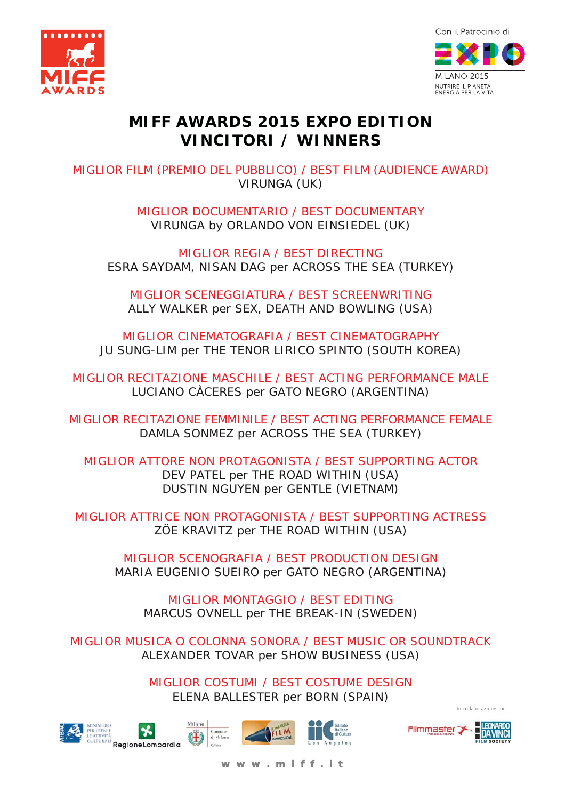



## **MIFF AWARDS 2015 EXPO EDITION VINCITORI / WINNERS**

MIGLIOR FILM (PREMIO DEL PUBBLICO) / BEST FILM (AUDIENCE AWARD) VIRUNGA (UK)

> MIGLIOR DOCUMENTARIO / BEST DOCUMENTARY VIRUNGA by ORLANDO VON EINSIEDEL (UK)

MIGLIOR REGIA / BEST DIRECTING ESRA SAYDAM, NISAN DAG per ACROSS THE SEA (TURKEY)

MIGLIOR SCENEGGIATURA / BEST SCREENWRITING ALLY WALKER per SEX, DEATH AND BOWLING (USA)

MIGLIOR CINEMATOGRAFIA / BEST CINEMATOGRAPHY JU SUNG-LIM per THE TENOR LIRICO SPINTO (SOUTH KOREA)

MIGLIOR RECITAZIONE MASCHILE / BEST ACTING PERFORMANCE MALE LUCIANO CÀCERES per GATO NEGRO (ARGENTINA)

MIGLIOR RECITAZIONE FEMMINILE / BEST ACTING PERFORMANCE FEMALE DAMLA SONMEZ per ACROSS THE SEA (TURKEY)

MIGLIOR ATTORE NON PROTAGONISTA / BEST SUPPORTING ACTOR DEV PATEL per THE ROAD WITHIN (USA) DUSTIN NGUYEN per GENTLE (VIETNAM)

MIGLIOR ATTRICE NON PROTAGONISTA / BEST SUPPORTING ACTRESS ZÖE KRAVITZ per THE ROAD WITHIN (USA)

MIGLIOR SCENOGRAFIA / BEST PRODUCTION DESIGN MARIA EUGENIO SUEIRO per GATO NEGRO (ARGENTINA)

MIGLIOR MONTAGGIO / BEST EDITING MARCUS OVNELL per THE BREAK-IN (SWEDEN)

MIGLIOR MUSICA O COLONNA SONORA / BEST MUSIC OR SOUNDTRACK ALEXANDER TOVAR per SHOW BUSINESS (USA)

> MIGLIOR COSTUMI / BEST COSTUME DESIGN ELENA BALLESTER per BORN (SPAIN)





Comune<br>di Milano





In collaborazione con